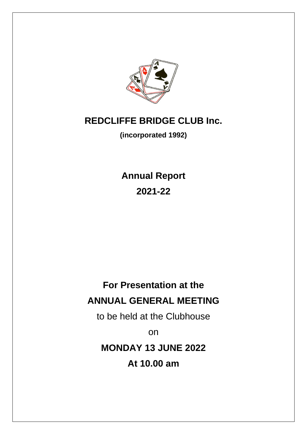

# **REDCLIFFE BRIDGE CLUB Inc.**

**(incorporated 1992)**

**Annual Report 2021-22**

**For Presentation at the ANNUAL GENERAL MEETING** to be held at the Clubhouse

on

**MONDAY 13 JUNE 2022**

**At 10.00 am**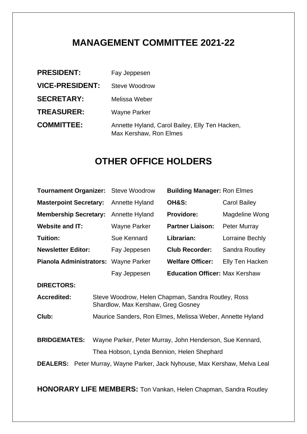## **MANAGEMENT COMMITTEE 2021-22**

| <b>PRESIDENT:</b>      | Fay Jeppesen                                                             |
|------------------------|--------------------------------------------------------------------------|
| <b>VICE-PRESIDENT:</b> | Steve Woodrow                                                            |
| <b>SECRETARY:</b>      | Melissa Weber                                                            |
| <b>TREASURER:</b>      | <b>Wayne Parker</b>                                                      |
| <b>COMMITTEE:</b>      | Annette Hyland, Carol Bailey, Elly Ten Hacken,<br>Max Kershaw, Ron Elmes |

## **OTHER OFFICE HOLDERS**

| <b>Tournament Organizer:</b>                                                      |                                                                                                        | <b>Steve Woodrow</b> | <b>Building Manager: Ron Elmes</b>    |                     |
|-----------------------------------------------------------------------------------|--------------------------------------------------------------------------------------------------------|----------------------|---------------------------------------|---------------------|
| <b>Masterpoint Secretary:</b>                                                     |                                                                                                        | Annette Hyland       | OH&S:                                 | <b>Carol Bailey</b> |
| <b>Membership Secretary:</b>                                                      |                                                                                                        | Annette Hyland       | <b>Providore:</b>                     | Magdeline Wong      |
| <b>Website and IT:</b>                                                            |                                                                                                        | <b>Wayne Parker</b>  | <b>Partner Liaison:</b>               | <b>Peter Murray</b> |
| <b>Tuition:</b>                                                                   |                                                                                                        | Sue Kennard          | Librarian:                            | Lorraine Bechly     |
| <b>Newsletter Editor:</b>                                                         |                                                                                                        | Fay Jeppesen         | <b>Club Recorder:</b>                 | Sandra Routley      |
| <b>Pianola Administrators:</b>                                                    |                                                                                                        | Wayne Parker         | <b>Welfare Officer:</b>               | Elly Ten Hacken     |
|                                                                                   |                                                                                                        | Fay Jeppesen         | <b>Education Officer: Max Kershaw</b> |                     |
| <b>DIRECTORS:</b>                                                                 |                                                                                                        |                      |                                       |                     |
| <b>Accredited:</b>                                                                | Steve Woodrow, Helen Chapman, Sandra Routley, Ross<br>Shardlow, Max Kershaw, Greg Gosney               |                      |                                       |                     |
| Club:                                                                             | Maurice Sanders, Ron Elmes, Melissa Weber, Annette Hyland                                              |                      |                                       |                     |
| <b>BRIDGEMATES:</b>                                                               | Wayne Parker, Peter Murray, John Henderson, Sue Kennard,<br>Thea Hobson, Lynda Bennion, Helen Shephard |                      |                                       |                     |
| <b>DEALERS:</b> Peter Murray, Wayne Parker, Jack Nyhouse, Max Kershaw, Melva Leal |                                                                                                        |                      |                                       |                     |

**HONORARY LIFE MEMBERS:** Ton Vankan, Helen Chapman, Sandra Routley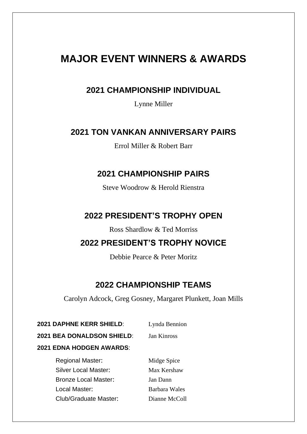# **MAJOR EVENT WINNERS & AWARDS**

## **2021 CHAMPIONSHIP INDIVIDUAL**

Lynne Miller

### **2021 TON VANKAN ANNIVERSARY PAIRS**

Errol Miller & Robert Barr

## **2021 CHAMPIONSHIP PAIRS**

Steve Woodrow & Herold Rienstra

## **2022 PRESIDENT'S TROPHY OPEN**

Ross Shardlow & Ted Morriss

### **2022 PRESIDENT'S TROPHY NOVICE**

Debbie Pearce & Peter Moritz

## **2022 CHAMPIONSHIP TEAMS**

Carolyn Adcock, Greg Gosney, Margaret Plunkett, Joan Mills

**2021 DAPHNE KERR SHIELD**: Lynda Bennion

**2021 BEA DONALDSON SHIELD**: Jan Kinross

**2021 EDNA HODGEN AWARDS**:

Regional Master: Midge Spice Silver Local Master: Max Kershaw Bronze Local Master: Jan Dann Local Master: Barbara Wales Club/Graduate Master: Dianne McColl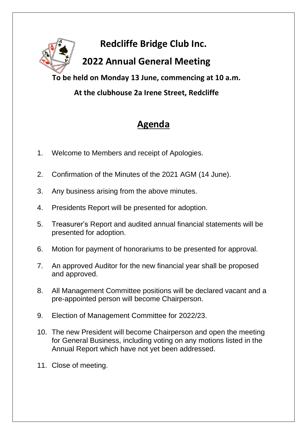

**To be held on Monday 13 June, commencing at 10 a.m.**

## **At the clubhouse 2a Irene Street, Redcliffe**

# **Agenda**

- 1. Welcome to Members and receipt of Apologies.
- 2. Confirmation of the Minutes of the 2021 AGM (14 June).
- 3. Any business arising from the above minutes.
- 4. Presidents Report will be presented for adoption.
- 5. Treasurer's Report and audited annual financial statements will be presented for adoption.
- 6. Motion for payment of honorariums to be presented for approval.
- 7. An approved Auditor for the new financial year shall be proposed and approved.
- 8. All Management Committee positions will be declared vacant and a pre-appointed person will become Chairperson.
- 9. Election of Management Committee for 2022/23.
- 10. The new President will become Chairperson and open the meeting for General Business, including voting on any motions listed in the Annual Report which have not yet been addressed.
- 11. Close of meeting.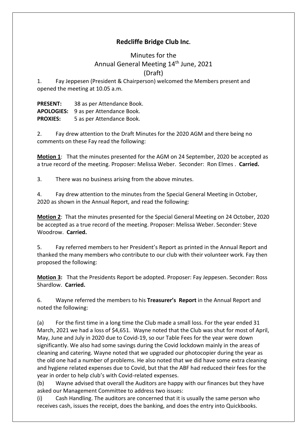#### **Redcliffe Bridge Club Inc.**

#### Minutes for the Annual General Meeting 14<sup>th</sup> June, 2021 (Draft)

1. Fay Jeppesen (President & Chairperson) welcomed the Members present and opened the meeting at 10.05 a.m.

**PRESENT:** 38 as per Attendance Book. **APOLOGIES:** 9 as per Attendance Book. PROXIES: 5 as per Attendance Book.

2. Fay drew attention to the Draft Minutes for the 2020 AGM and there being no comments on these Fay read the following:

**Motion 1**: That the minutes presented for the AGM on 24 September, 2020 be accepted as a true record of the meeting. Proposer: Melissa Weber. Seconder: Ron Elmes . **Carried.**

3. There was no business arising from the above minutes.

4. Fay drew attention to the minutes from the Special General Meeting in October, 2020 as shown in the Annual Report, and read the following:

**Motion 2**: That the minutes presented for the Special General Meeting on 24 October, 2020 be accepted as a true record of the meeting. Proposer: Melissa Weber. Seconder: Steve Woodrow. **Carried.**

5. Fay referred members to her President's Report as printed in the Annual Report and thanked the many members who contribute to our club with their volunteer work. Fay then proposed the following:

**Motion 3:** That the Presidents Report be adopted. Proposer: Fay Jeppesen. Seconder: Ross Shardlow. **Carried.**

6. Wayne referred the members to his **Treasurer's Report** in the Annual Report and noted the following:

(a) For the first time in a long time the Club made a small loss. For the year ended 31 March, 2021 we had a loss of \$4,651. Wayne noted that the Club was shut for most of April, May, June and July in 2020 due to Covid-19, so our Table Fees for the year were down significantly. We also had some savings during the Covid lockdown mainly in the areas of cleaning and catering. Wayne noted that we upgraded our photocopier during the year as the old one had a number of problems. He also noted that we did have some extra cleaning and hygiene related expenses due to Covid, but that the ABF had reduced their fees for the year in order to help club's with Covid-related expenses.

(b) Wayne advised that overall the Auditors are happy with our finances but they have asked our Management Committee to address two issues:

(i) Cash Handling. The auditors are concerned that it is usually the same person who receives cash, issues the receipt, does the banking, and does the entry into Quickbooks.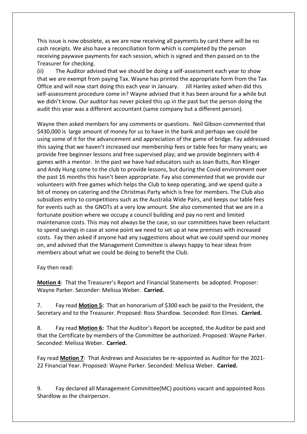This issue is now obsolete, as we are now receiving all payments by card there will be no cash receipts. We also have a reconciliation form which is completed by the person receiving paywave payments for each session, which is signed and then passed on to the Treasurer for checking.

(ii) The Auditor advised that we should be doing a self-assessment each year to show that we are exempt from paying Tax. Wayne has printed the appropriate form from the Tax Office and will now start doing this each year in January. Jill Hanley asked when did this self-assessment procedure come in? Wayne advised that it has been around for a while but we didn't know. Our auditor has never picked this up in the past but the person doing the audit this year was a different accountant (same company but a different person).

Wayne then asked members for any comments or questions. Neil Gibson commented that \$430,000 is large amount of money for us to have in the bank and perhaps we could be using some of it for the advancement and appreciation of the game of bridge. Fay addressed this saying that we haven't increased our membership fees or table fees for many years; we provide free beginner lessons and free supervised play; and we provide beginners with 4 games with a mentor. In the past we have had educators such as Joan Butts, Ron Klinger and Andy Hung come to the club to provide lessons, but during the Covid environment over the past 16 months this hasn't been appropriate. Fay also commented that we provide our volunteers with free games which helps the Club to keep operating, and we spend quite a bit of money on catering and the Christmas Party which is free for members. The Club also subsidizes entry to competitions such as the Australia Wide Pairs, and keeps our table fees for events such as the GNOTs at a very low amount. She also commented that we are in a fortunate position where we occupy a council building and pay no rent and limited maintenance costs. This may not always be the case, so our committees have been reluctant to spend savings in case at some point we need to set up at new premises with increased costs. Fay then asked if anyone had any suggestions about what we could spend our money on, and advised that the Management Committee is always happy to hear ideas from members about what we could be doing to benefit the Club.

Fay then read:

**Motion 4**: That the Treasurer's Report and Financial Statements be adopted. Proposer: Wayne Parker. Seconder: Melissa Weber. **Carried.**

7. Fay read **Motion 5:** That an honorarium of \$300 each be paid to the President, the Secretary and to the Treasurer. Proposed: Ross Shardlow. Seconded: Ron Elmes. **Carried.**

8. Fay read **Motion 6:** That the Auditor's Report be accepted, the Auditor be paid and that the Certificate by members of the Committee be authorized. Proposed: Wayne Parker. Seconded: Melissa Weber. **Carried.**

Fay read **Motion 7**: That Andrews and Associates be re-appointed as Auditor for the 2021- 22 Financial Year. Proposed: Wayne Parker. Seconded: Melissa Weber. **Carried.**

9. Fay declared all Management Committee(MC) positions vacant and appointed Ross Shardlow as the chairperson.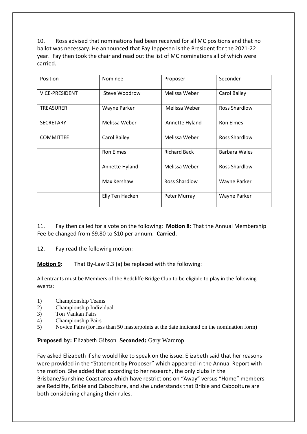10. Ross advised that nominations had been received for all MC positions and that no ballot was necessary. He announced that Fay Jeppesen is the President for the 2021-22 year. Fay then took the chair and read out the list of MC nominations all of which were carried.

| Position              | Nominee          | Proposer            | Seconder             |
|-----------------------|------------------|---------------------|----------------------|
| <b>VICE-PRESIDENT</b> | Steve Woodrow    | Melissa Weber       | Carol Bailey         |
| <b>TREASURER</b>      | Wayne Parker     | Melissa Weber       | <b>Ross Shardlow</b> |
| <b>SECRETARY</b>      | Melissa Weber    | Annette Hyland      | <b>Ron Elmes</b>     |
| <b>COMMITTEE</b>      | Carol Bailey     | Melissa Weber       | <b>Ross Shardlow</b> |
|                       | <b>Ron Elmes</b> | <b>Richard Back</b> | Barbara Wales        |
|                       | Annette Hyland   | Melissa Weber       | <b>Ross Shardlow</b> |
|                       | Max Kershaw      | Ross Shardlow       | Wayne Parker         |
|                       | Elly Ten Hacken  | Peter Murray        | Wayne Parker         |

11. Fay then called for a vote on the following: **Motion 8**: That the Annual Membership Fee be changed from \$9.80 to \$10 per annum. **Carried.**

12. Fay read the following motion:

**Motion 9**: That By-Law 9.3 (a) be replaced with the following:

All entrants must be Members of the Redcliffe Bridge Club to be eligible to play in the following events:

- 1) Championship Teams
- 2) Championship Individual
- 3) Ton Vankan Pairs
- 4) Championship Pairs
- 5) Novice Pairs (for less than 50 masterpoints at the date indicated on the nomination form)

#### **Proposed by:** Elizabeth Gibson **Seconded:** Gary Wardrop

Fay asked Elizabeth if she would like to speak on the issue. Elizabeth said that her reasons were provided in the "Statement by Proposer" which appeared in the Annual Report with the motion. She added that according to her research, the only clubs in the Brisbane/Sunshine Coast area which have restrictions on "Away" versus "Home" members are Redcliffe, Bribie and Caboolture, and she understands that Bribie and Caboolture are both considering changing their rules.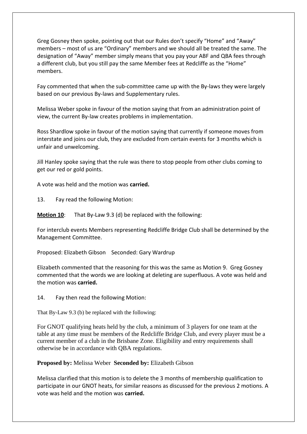Greg Gosney then spoke, pointing out that our Rules don't specify "Home" and "Away" members – most of us are "Ordinary" members and we should all be treated the same. The designation of "Away" member simply means that you pay your ABF and QBA fees through a different club, but you still pay the same Member fees at Redcliffe as the "Home" members.

Fay commented that when the sub-committee came up with the By-laws they were largely based on our previous By-laws and Supplementary rules.

Melissa Weber spoke in favour of the motion saying that from an administration point of view, the current By-law creates problems in implementation.

Ross Shardlow spoke in favour of the motion saying that currently if someone moves from interstate and joins our club, they are excluded from certain events for 3 months which is unfair and unwelcoming.

Jill Hanley spoke saying that the rule was there to stop people from other clubs coming to get our red or gold points.

A vote was held and the motion was **carried.**

13. Fay read the following Motion:

**Motion 10**: That By-Law 9.3 (d) be replaced with the following:

For interclub events Members representing Redcliffe Bridge Club shall be determined by the Management Committee.

Proposed: Elizabeth Gibson Seconded: Gary Wardrup

Elizabeth commented that the reasoning for this was the same as Motion 9. Greg Gosney commented that the words we are looking at deleting are superfluous. A vote was held and the motion was **carried.**

14. Fay then read the following Motion:

That By-Law 9.3 (b) be replaced with the following:

For GNOT qualifying heats held by the club, a minimum of 3 players for one team at the table at any time must be members of the Redcliffe Bridge Club, and every player must be a current member of a club in the Brisbane Zone. Eligibility and entry requirements shall otherwise be in accordance with QBA regulations.

**Proposed by:** Melissa Weber **Seconded by:** Elizabeth Gibson

Melissa clarified that this motion is to delete the 3 months of membership qualification to participate in our GNOT heats, for similar reasons as discussed for the previous 2 motions. A vote was held and the motion was **carried.**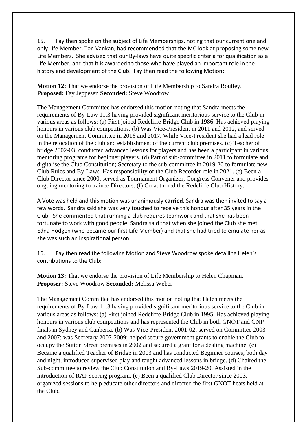15. Fay then spoke on the subject of Life Memberships, noting that our current one and only Life Member, Ton Vankan, had recommended that the MC look at proposing some new Life Members. She advised that our By-laws have quite specific criteria for qualification as a Life Member, and that it is awarded to those who have played an important role in the history and development of the Club. Fay then read the following Motion:

**Motion 12:** That we endorse the provision of Life Membership to Sandra Routley. **Proposed:** Fay Jeppesen **Seconded:** Steve Woodrow

The Management Committee has endorsed this motion noting that Sandra meets the requirements of By-Law 11.3 having provided significant meritorious service to the Club in various areas as follows: (a) First joined Redcliffe Bridge Club in 1986. Has achieved playing honours in various club competitions. (b) Was Vice-President in 2011 and 2012, and served on the Management Committee in 2016 and 2017. While Vice-President she had a lead role in the relocation of the club and establishment of the current club premises. (c) Teacher of bridge 2002-03; conducted advanced lessons for players and has been a participant in various mentoring programs for beginner players. (d) Part of sub-committee in 2011 to formulate and digitalise the Club Constitution; Secretary to the sub-committee in 2019-20 to formulate new Club Rules and By-Laws. Has responsibility of the Club Recorder role in 2021. (e) Been a Club Director since 2000, served as Tournament Organizer, Congress Convener and provides ongoing mentoring to trainee Directors. (f) Co-authored the Redcliffe Club History.

A Vote was held and this motion was unanimously **carried**. Sandra was then invited to say a few words. Sandra said she was very touched to receive this honour after 35 years in the Club. She commented that running a club requires teamwork and that she has been fortunate to work with good people. Sandra said that when she joined the Club she met Edna Hodgen (who became our first Life Member) and that she had tried to emulate her as she was such an inspirational person.

16. Fay then read the following Motion and Steve Woodrow spoke detailing Helen's contributions to the Club:

**Motion 13:** That we endorse the provision of Life Membership to Helen Chapman. **Proposer:** Steve Woodrow **Seconded:** Melissa Weber

The Management Committee has endorsed this motion noting that Helen meets the requirements of By-Law 11.3 having provided significant meritorious service to the Club in various areas as follows: (a) First joined Redcliffe Bridge Club in 1995. Has achieved playing honours in various club competitions and has represented the Club in both GNOT and GNP finals in Sydney and Canberra. (b) Was Vice-President 2001-02; served on Committee 2003 and 2007; was Secretary 2007-2009; helped secure government grants to enable the Club to occupy the Sutton Street premises in 2002 and secured a grant for a dealing machine. (c) Became a qualified Teacher of Bridge in 2003 and has conducted Beginner courses, both day and night, introduced supervised play and taught advanced lessons in bridge. (d) Chaired the Sub-committee to review the Club Constitution and By-Laws 2019-20. Assisted in the introduction of RAP scoring program. (e) Been a qualified Club Director since 2003, organized sessions to help educate other directors and directed the first GNOT heats held at the Club.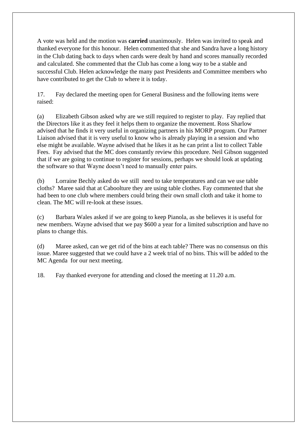A vote was held and the motion was **carried** unanimously. Helen was invited to speak and thanked everyone for this honour. Helen commented that she and Sandra have a long history in the Club dating back to days when cards were dealt by hand and scores manually recorded and calculated. She commented that the Club has come a long way to be a stable and successful Club. Helen acknowledge the many past Presidents and Committee members who have contributed to get the Club to where it is today.

17. Fay declared the meeting open for General Business and the following items were raised:

(a) Elizabeth Gibson asked why are we still required to register to play. Fay replied that the Directors like it as they feel it helps them to organize the movement. Ross Sharlow advised that he finds it very useful in organizing partners in his MORP program. Our Partner Liaison advised that it is very useful to know who is already playing in a session and who else might be available. Wayne advised that he likes it as he can print a list to collect Table Fees. Fay advised that the MC does constantly review this procedure. Neil Gibson suggested that if we are going to continue to register for sessions, perhaps we should look at updating the software so that Wayne doesn't need to manually enter pairs.

(b) Lorraine Bechly asked do we still need to take temperatures and can we use table cloths? Maree said that at Caboolture they are using table clothes. Fay commented that she had been to one club where members could bring their own small cloth and take it home to clean. The MC will re-look at these issues.

(c) Barbara Wales asked if we are going to keep Pianola, as she believes it is useful for new members. Wayne advised that we pay \$600 a year for a limited subscription and have no plans to change this.

(d) Maree asked, can we get rid of the bins at each table? There was no consensus on this issue. Maree suggested that we could have a 2 week trial of no bins. This will be added to the MC Agenda for our next meeting.

18. Fay thanked everyone for attending and closed the meeting at 11.20 a.m.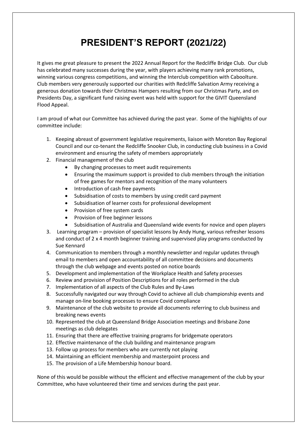# **PRESIDENT'S REPORT (2021/22)**

It gives me great pleasure to present the 2022 Annual Report for the Redcliffe Bridge Club. Our club has celebrated many successes during the year, with players achieving many rank promotions, winning various congress competitions, and winning the Interclub competition with Caboolture. Club members very generously supported our charities with Redcliffe Salvation Army receiving a generous donation towards their Christmas Hampers resulting from our Christmas Party, and on Presidents Day, a significant fund raising event was held with support for the GIVIT Queensland Flood Appeal.

I am proud of what our Committee has achieved during the past year. Some of the highlights of our committee include:

- 1. Keeping abreast of government legislative requirements, liaison with Moreton Bay Regional Council and our co-tenant the Redcliffe Snooker Club, in conducting club business in a Covid environment and ensuring the safety of members appropriately
- 2. Financial management of the club
	- By changing processes to meet audit requirements
	- Ensuring the maximum support is provided to club members through the initiation of free games for mentors and recognition of the many volunteers
	- Introduction of cash free payments
	- Subsidisation of costs to members by using credit card payment
	- Subsidisation of learner costs for professional development
	- Provision of free system cards
	- Provision of free beginner lessons
	- Subsidisation of Australia and Queensland wide events for novice and open players
- 3. Learning program provision of specialist lessons by Andy Hung, various refresher lessons and conduct of 2 x 4 month beginner training and supervised play programs conducted by Sue Kennard
- 4. Communication to members through a monthly newsletter and regular updates through email to members and open accountability of all committee decisions and documents through the club webpage and events posted on notice boards
- 5. Development and implementation of the Workplace Health and Safety processes
- 6. Review and provision of Position Descriptions for all roles performed in the club
- 7. Implementation of all aspects of the Club Rules and By-Laws
- 8. Successfully navigated our way through Covid to achieve all club championship events and manage on-line booking processes to ensure Covid compliance
- 9. Maintenance of the club website to provide all documents referring to club business and breaking news events
- 10. Represented the club at Queensland Bridge Association meetings and Brisbane Zone meetings as club delegates
- 11. Ensuring that there are effective training programs for bridgemate operators
- 12. Effective maintenance of the club building and maintenance program
- 13. Follow up process for members who are currently not playing
- 14. Maintaining an efficient membership and masterpoint process and
- 15. The provision of a Life Membership honour board.

None of this would be possible without the efficient and effective management of the club by your Committee, who have volunteered their time and services during the past year.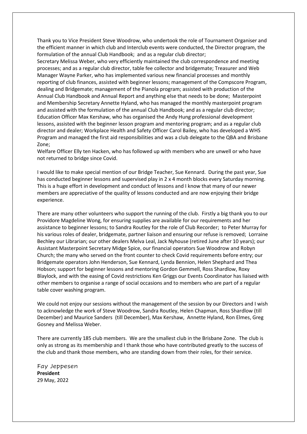Thank you to Vice President Steve Woodrow, who undertook the role of Tournament Organiser and the efficient manner in which club and Interclub events were conducted, the Director program, the formulation of the annual Club Handbook; and as a regular club director;

Secretary Melissa Weber, who very efficiently maintained the club correspondence and meeting processes; and as a regular club director, table fee collector and bridgemate; Treasurer and Web Manager Wayne Parker, who has implemented various new financial processes and monthly reporting of club finances, assisted with beginner lessons; management of the Compscore Program, dealing and Bridgemate; management of the Pianola program; assisted with production of the Annual Club Handbook and Annual Report and anything else that needs to be done; Masterpoint and Membership Secretary Annette Hyland, who has managed the monthly masterpoint program and assisted with the formulation of the annual Club Handbook; and as a regular club director; Education Officer Max Kershaw, who has organised the Andy Hung professional development lessons, assisted with the beginner lesson program and mentoring program; and as a regular club director and dealer; Workplace Health and Safety Officer Carol Bailey, who has developed a WHS Program and managed the first aid responsibilities and was a club delegate to the QBA and Brisbane Zone;

Welfare Officer Elly ten Hacken, who has followed up with members who are unwell or who have not returned to bridge since Covid.

I would like to make special mention of our Bridge Teacher, Sue Kennard. During the past year, Sue has conducted beginner lessons and supervised play in 2 x 4 month blocks every Saturday morning. This is a huge effort in development and conduct of lessons and I know that many of our newer members are appreciative of the quality of lessons conducted and are now enjoying their bridge experience.

There are many other volunteers who support the running of the club. Firstly a big thank you to our Providore Magdeline Wong, for ensuring supplies are available for our requirements and her assistance to beginner lessons; to Sandra Routley for the role of Club Recorder; to Peter Murray for his various roles of dealer, bridgemate, partner liaison and ensuring our refuse is removed; Lorraine Bechley our Librarian; our other dealers Melva Leal, Jack Nyhouse (retired June after 10 years); our Assistant Masterpoint Secretary Midge Spice, our financial operators Sue Woodrow and Robyn Church; the many who served on the front counter to check Covid requirements before entry; our Bridgemate operators John Henderson, Sue Kennard, Lynda Bennion, Helen Shephard and Thea Hobson; support for beginner lessons and mentoring Gordon Gemmell, Ross Shardlow, Roxy Blaylock, and with the easing of Covid restrictions Ken Griggs our Events Coordinator has liaised with other members to organise a range of social occasions and to members who are part of a regular table cover washing program.

We could not enjoy our sessions without the management of the session by our Directors and I wish to acknowledge the work of Steve Woodrow, Sandra Routley, Helen Chapman, Ross Shardlow (till December) and Maurice Sanders (till December), Max Kershaw, Annette Hyland, Ron Elmes, Greg Gosney and Melissa Weber.

There are currently 185 club members. We are the smallest club in the Brisbane Zone. The club is only as strong as its membership and I thank those who have contributed greatly to the success of the club and thank those members, who are standing down from their roles, for their service.

Fay Jeppesen **President** 29 May, 2022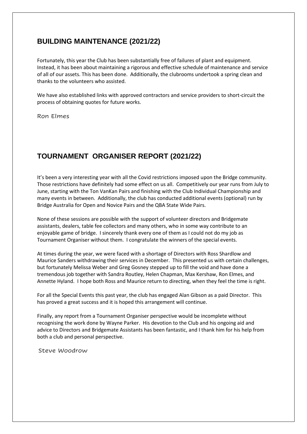#### **BUILDING MAINTENANCE (2021/22)**

Fortunately, this year the Club has been substantially free of failures of plant and equipment. Instead, it has been about maintaining a rigorous and effective schedule of maintenance and service of all of our assets. This has been done. Additionally, the clubrooms undertook a spring clean and thanks to the volunteers who assisted.

We have also established links with approved contractors and service providers to short-circuit the process of obtaining quotes for future works.

Ron Elmes

### **TOURNAMENT ORGANISER REPORT (2021/22)**

It's been a very interesting year with all the Covid restrictions imposed upon the Bridge community. Those restrictions have definitely had some effect on us all. Competitively our year runs from July to June, starting with the Ton VanKan Pairs and finishing with the Club Individual Championship and many events in between. Additionally, the club has conducted additional events (optional) run by Bridge Australia for Open and Novice Pairs and the QBA State Wide Pairs.

None of these sessions are possible with the support of volunteer directors and Bridgemate assistants, dealers, table fee collectors and many others, who in some way contribute to an enjoyable game of bridge. I sincerely thank every one of them as I could not do my job as Tournament Organiser without them. I congratulate the winners of the special events.

At times during the year, we were faced with a shortage of Directors with Ross Shardlow and Maurice Sanders withdrawing their services in December. This presented us with certain challenges, but fortunately Melissa Weber and Greg Gosney stepped up to fill the void and have done a tremendous job together with Sandra Routley, Helen Chapman, Max Kershaw, Ron Elmes, and Annette Hyland. I hope both Ross and Maurice return to directing, when they feel the time is right.

For all the Special Events this past year, the club has engaged Alan Gibson as a paid Director. This has proved a great success and it is hoped this arrangement will continue.

Finally, any report from a Tournament Organiser perspective would be incomplete without recognising the work done by Wayne Parker. His devotion to the Club and his ongoing aid and advice to Directors and Bridgemate Assistants has been fantastic, and I thank him for his help from both a club and personal perspective.

Steve Woodrow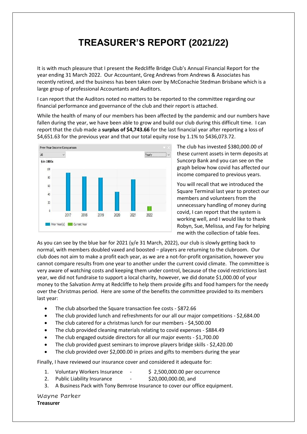# **TREASURER'S REPORT (2021/22)**

It is with much pleasure that I present the Redcliffe Bridge Club's Annual Financial Report for the year ending 31 March 2022. Our Accountant, Greg Andrews from Andrews & Associates has recently retired, and the business has been taken over by McConachie Stedman Brisbane which is a large group of professional Accountants and Auditors.

I can report that the Auditors noted no matters to be reported to the committee regarding our financial performance and governance of the club and their report is attached.

While the health of many of our members has been affected by the pandemic and our numbers have fallen during the year, we have been able to grow and build our club during this difficult time. I can report that the club made a **surplus of \$4,743.66** for the last financial year after reporting a loss of \$4,651.63 for the previous year and that our total equity rose by 1.1% to \$436,073.72.



The club has invested \$380,000.00 of these current assets in term deposits at Suncorp Bank and you can see on the graph below how covid has affected our income compared to previous years.

You will recall that we introduced the Square Terminal last year to protect our members and volunteers from the unnecessary handling of money during covid, I can report that the system is working well, and I would like to thank Robyn, Sue, Melissa, and Fay for helping me with the collection of table fees.

As you can see by the blue bar for 2021 (y/e 31 March, 2022), our club is slowly getting back to normal, with members doubled vaxed and boosted – players are returning to the clubroom. Our club does not aim to make a profit each year, as we are a not-for-profit organisation, however you cannot compare results from one year to another under the current covid climate. The committee is very aware of watching costs and keeping them under control, because of the covid restrictions last year, we did not fundraise to support a local charity, however, we did donate \$1,000.00 of your money to the Salvation Army at Redcliffe to help them provide gifts and food hampers for the needy over the Christmas period. Here are some of the benefits the committee provided to its members last year:

- The club absorbed the Square transaction fee costs \$872.66
- The club provided lunch and refreshments for our all our major competitions \$2,684.00
- The club catered for a christmas lunch for our members \$4,500.00
- The club provided cleaning materials relating to covid expenses \$884.49
- The club engaged outside directors for all our major events \$1,700.00
- The club provided guest seminars to improve players bridge skills \$2,420.00
- The club provided over \$2,000.00 in prizes and gifts to members during the year

Finally, I have reviewed our insurance cover and considered it adequate for:

- 1. Voluntary Workers Insurance \$ 2,500,000.00 per occurrence
- 2. Public Liability Insurance \$20,000,000.00, and
	-
- 3. A Business Pack with Tony Bemrose Insurance to cover our office equipment.

Wayne Parker **Treasurer**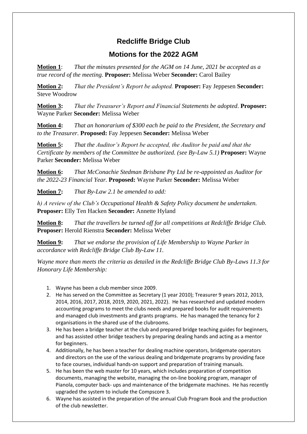## **Redcliffe Bridge Club**

#### **Motions for the 2022 AGM**

**Motion 1**: *That the minutes presented for the AGM on 14 June, 2021 be accepted as a true record of the meeting.* **Proposer:** Melissa Weber **Seconder:** Carol Bailey

**Motion 2:** *That the President's Report be adopted.* **Proposer:** Fay Jeppesen **Seconder:**  Steve Woodrow

**Motion 3:** *That the Treasurer's Report and Financial Statements be adopted*. **Proposer:**  Wayne Parker **Seconder:** Melissa Weber

**Motion 4:** *That an honorarium of \$300 each be paid to the President, the Secretary and to the Treasurer.* **Proposed:** Fay Jeppesen **Seconder:** Melissa Weber

**Motion 5:** *That the Auditor's Report be accepted, the Auditor be paid and that the Certificate by members of the Committee be authorized. (see By-Law 5.1)* **Proposer:** Wayne Parker **Seconder:** Melissa Weber

**Motion 6:** *That McConachie Stedman Brisbane Pty Ltd be re-appointed as Auditor for the 2022-23 Financial Year.* **Proposed:** Wayne Parker **Seconder:** Melissa Weber

**Motion 7:** *That By-Law 2.1 be amended to add:*

*h) A review of the Club's Occupational Health & Safety Policy document be undertaken.*  **Proposer:** Elly Ten Hacken **Seconder:** Annette Hyland

**Motion 8:** *That the travellers be turned off for all competitions at Redcliffe Bridge Club.*  **Proposer:** Herold Rienstra **Seconder:** Melissa Weber

**Motion 9:** *That we endorse the provision of Life Membership to Wayne Parker in accordance with Redcliffe Bridge Club By-Law 11.* 

*Wayne more than meets the criteria as detailed in the Redcliffe Bridge Club By-Laws 11.3 for Honorary Life Membership:*

- 1. Wayne has been a club member since 2009.
- 2. He has served on the Committee as Secretary (1 year 2010); Treasurer 9 years 2012, 2013, 2014, 2016, 2017, 2018, 2019, 2020, 2021, 2022). He has researched and updated modern accounting programs to meet the clubs needs and prepared books for audit requirements and managed club investments and grants programs. He has managed the tenancy for 2 organisations in the shared use of the clubrooms.
- 3. He has been a bridge teacher at the club and prepared bridge teaching guides for beginners, and has assisted other bridge teachers by preparing dealing hands and acting as a mentor for beginners.
- 4. Additionally, he has been a teacher for dealing machine operators, bridgemate operators and directors on the use of the various dealing and bridgemate programs by providing face to face courses, individual hands-on support and preparation of training manuals.
- 5. He has been the web master for 10 years, which includes preparation of competition documents, managing the website, managing the on-line booking program, manager of Pianola, computer back- ups and maintenance of the bridgemate machines. He has recently upgraded the system to include the Compscore 3.
- 6. Wayne has assisted in the preparation of the annual Club Program Book and the production of the club newsletter.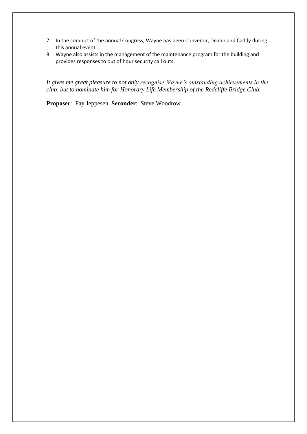- 7. In the conduct of the annual Congress, Wayne has been Convenor, Dealer and Caddy during this annual event.
- 8. Wayne also assists in the management of the maintenance program for the building and provides responses to out of hour security call outs.

*It gives me great pleasure to not only recognise Wayne's outstanding achievements in the club, but to nominate him for Honorary Life Membership of the Redcliffe Bridge Club.*

**Proposer**: Fay Jeppesen **Seconder**: Steve Woodrow